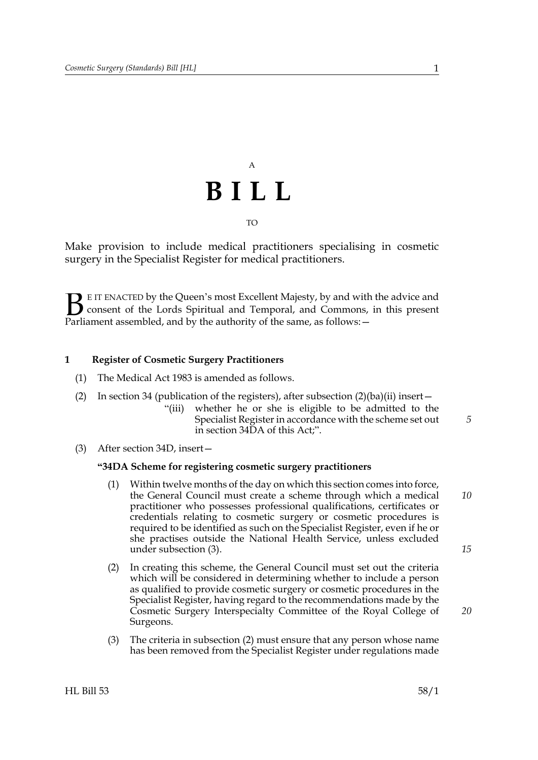# A **BILL**

TO

Make provision to include medical practitioners specialising in cosmetic surgery in the Specialist Register for medical practitioners.

E IT ENACTED by the Queen's most Excellent Majesty, by and with the advice and consent of the Lords Spiritual and Temporal, and Commons, in this present **B** E IT ENACTED by the Queen's most Excellent Majesty, by and with consent of the Lords Spiritual and Temporal, and Commons, Parliament assembled, and by the authority of the same, as follows:  $-$ 

#### **1 Register of Cosmetic Surgery Practitioners**

- (1) The Medical Act 1983 is amended as follows.
- (2) In section 34 (publication of the registers), after subsection  $(2)(ba)(ii)$  insert
	- "(iii) whether he or she is eligible to be admitted to the Specialist Register in accordance with the scheme set out in section [34DA](#page-0-0) of this Act;".
- <span id="page-0-0"></span>(3) After section 34D, insert—

#### **"34DA Scheme for registering cosmetic surgery practitioners**

- (1) Within twelve months of the day on which this section comes into force, the General Council must create a scheme through which a medical practitioner who possesses professional qualifications, certificates or credentials relating to cosmetic surgery or cosmetic procedures is required to be identified as such on the Specialist Register, even if he or she practises outside the National Health Service, unless excluded under subsection [\(3\).](#page-0-1) *10*
- <span id="page-0-2"></span>(2) In creating this scheme, the General Council must set out the criteria which will be considered in determining whether to include a person as qualified to provide cosmetic surgery or cosmetic procedures in the Specialist Register, having regard to the recommendations made by the Cosmetic Surgery Interspecialty Committee of the Royal College of Surgeons.
- <span id="page-0-1"></span>(3) The criteria in subsection [\(2\)](#page-0-2) must ensure that any person whose name has been removed from the Specialist Register under regulations made

*15*

*20*

*5*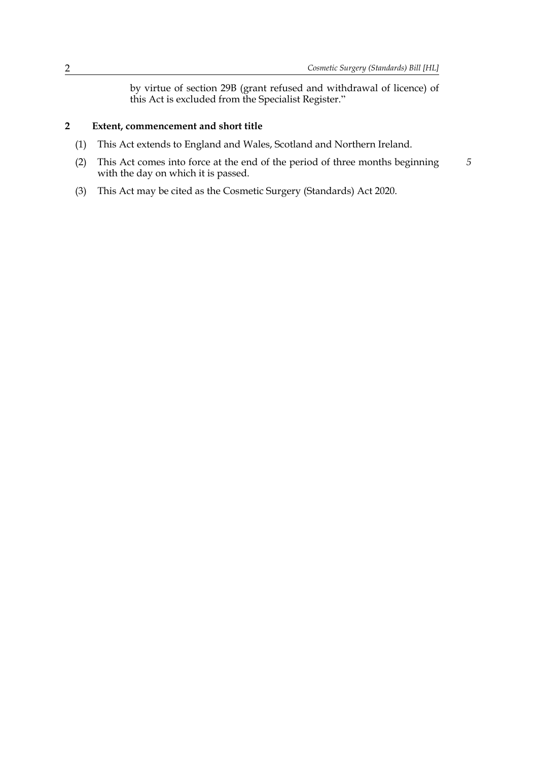*5*

by virtue of section 29B (grant refused and withdrawal of licence) of this Act is excluded from the Specialist Register."

#### **2 Extent, commencement and short title**

- (1) This Act extends to England and Wales, Scotland and Northern Ireland.
- (2) This Act comes into force at the end of the period of three months beginning with the day on which it is passed.
- (3) This Act may be cited as the Cosmetic Surgery (Standards) Act 2020.